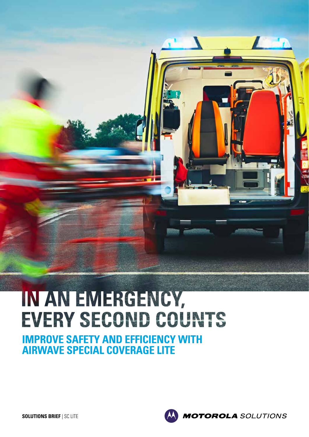# IN AN EMERGENCY, EVERY SECOND COUNTS

 $\mathcal{L}$ 

 $\mathbf{L}$ 

**IMPROVE SAFETY AND EFFICIENCY WITH AIRWAVE SPECIAL COVERAGE LITE**

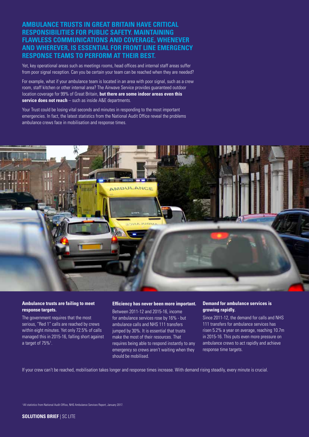**AMBULANCE TRUSTS IN GREAT BRITAIN HAVE CRITICAL RESPONSIBILITIES FOR PUBLIC SAFETY. MAINTAINING FLAWLESS COMMUNICATIONS AND COVERAGE, WHENEVER AND WHEREVER, IS ESSENTIAL FOR FRONT LINE EMERGENCY RESPONSE TEAMS TO PERFORM AT THEIR BEST.** 

Yet, key operational areas such as meetings rooms, head offices and internal staff areas suffer from poor signal reception. Can you be certain your team can be reached when they are needed?

For example, what if your ambulance team is located in an area with poor signal, such as a crew room, staff kitchen or other internal area? The Airwave Service provides guaranteed outdoor location coverage for 99% of Great Britain, **but there are some indoor areas even this service does not reach** – such as inside A&E departments.

Your Trust could be losing vital seconds and minutes in responding to the most important emergencies. In fact, the latest statistics from the National Audit Office reveal the problems ambulance crews face in mobilisation and response times.



#### **Ambulance trusts are failing to meet response targets.**

The government requires that the most serious, "Red 1" calls are reached by crews within eight minutes. Yet only 72.5% of calls managed this in 2015-16, falling short against a target of 75%<sup>1</sup>.

#### **Efficiency has never been more important.**

Between 2011-12 and 2015-16, income for ambulance services rose by 16% - but ambulance calls and NHS 111 transfers jumped by 30%. It is essential that trusts make the most of their resources. That requires being able to respond instantly to any emergency so crews aren't waiting when they should be mobilised.

#### **Demand for ambulance services is growing rapidly.**

Since 2011-12, the demand for calls and NHS 111 transfers for ambulance services has risen 5.2% a year on average, reaching 10.7m in 2015-16. This puts even more pressure on ambulance crews to act rapidly and achieve response time targets.

If your crew can't be reached, mobilisation takes longer and response times increase. With demand rising steadily, every minute is crucial.

<sup>1</sup> All statistics from National Audit Office, NHS Ambulance Services Report, January 2017.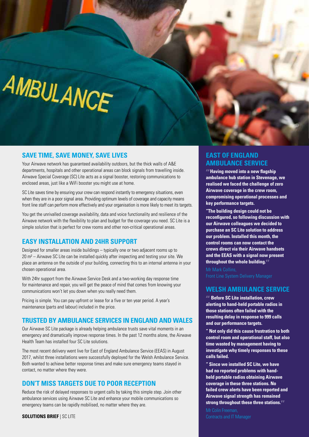# AMBULANCE

## **SAVE TIME, SAVE MONEY, SAVE LIVES**

Your Airwave network has guaranteed availability outdoors, but the thick walls of A&E departments, hospitals and other operational areas can block signals from travelling inside. Airwave Special Coverage (SC) Lite acts as a signal booster, restoring communications to enclosed areas, just like a WiFi booster you might use at home.

SC Lite saves time by ensuring your crew can respond instantly to emergency situations, even when they are in a poor signal area. Providing optimum levels of coverage and capacity means front line staff can perform more effectively and your organisation is more likely to meet its targets.

You get the unrivalled coverage availability, data and voice functionality and resilience of the Airwave network with the flexibility to plan and budget for the coverage you need. SC Lite is a simple solution that is perfect for crew rooms and other non-critical operational areas.

#### **EASY INSTALLATION AND 24HR SUPPORT**

Designed for smaller areas inside buildings – typically one or two adjacent rooms up to 20 m² – Airwave SC Lite can be installed quickly after inspecting and testing your site. We place an antenna on the outside of your building, connecting this to an internal antenna in your chosen operational area.

With 24hr support from the Airwave Service Desk and a two-working day response time for maintenance and repair, you will get the peace of mind that comes from knowing your communications won't let you down when you really need them.

Pricing is simple. You can pay upfront or lease for a five or ten year period. A year's maintenance (parts and labour) included in the price.

## **TRUSTED BY AMBULANCE SERVICES IN ENGLAND AND WALES**

Our Airwave SC Lite package is already helping ambulance trusts save vital moments in an emergency and dramatically improve response times. In the past 12 months alone, the Airwave Health Team has installed four SC Lite solutions.

The most recent delivery went live for East of England Ambulance Service (EEAS) in August 2017, whilst three installations were successfully deployed for the Welsh Ambulance Service. Both wanted to achieve better response times and make sure emergency teams stayed in contact, no matter where they were.

# **DON'T MISS TARGETS DUE TO POOR RECEPTION**

Reduce the risk of delayed responses to urgent calls by taking this simple step. Join other ambulance services using Airwave SC Lite and enhance your mobile communications so emergency teams can be rapidly mobilised, no matter where they are.

#### **SOLUTIONS BRIEF** | SC LITE

# **EAST OF ENGLAND AMBULANCE SERVICE**

**Having moved into a new flagship ambulance hub station in Stevenage, we realised we faced the challenge of zero Airwave coverage in the crew room, compromising operational processes and key performance targets.** 

**"The building design could not be reconfigured, so following discussion with our Airwave colleagues we decided to purchase an SC Lite solution to address our problem. Installed this month, the control rooms can now contact the crews direct via their Airwave handsets and the EEAS with a signal now present throughout the whole building.**

#### **WELSH AMBULANCE SERVICE**

*<b>Before SC Lite installation, crew* **alerting to hand-held portable radios in those stations often failed with the resulting delay in response to 999 calls and our performance targets.** 

**" Not only did this cause frustration to both control room and operational staff, but also time wasted by management having to investigate why timely responses to these calls failed.** 

**" Since we installed SC Lite, we have had no reported problems with handheld portable radios obtaining Airwave coverage in these three stations. No failed crew alerts have been reported and Airwave signal strength has remained strong throughout these three stations.**